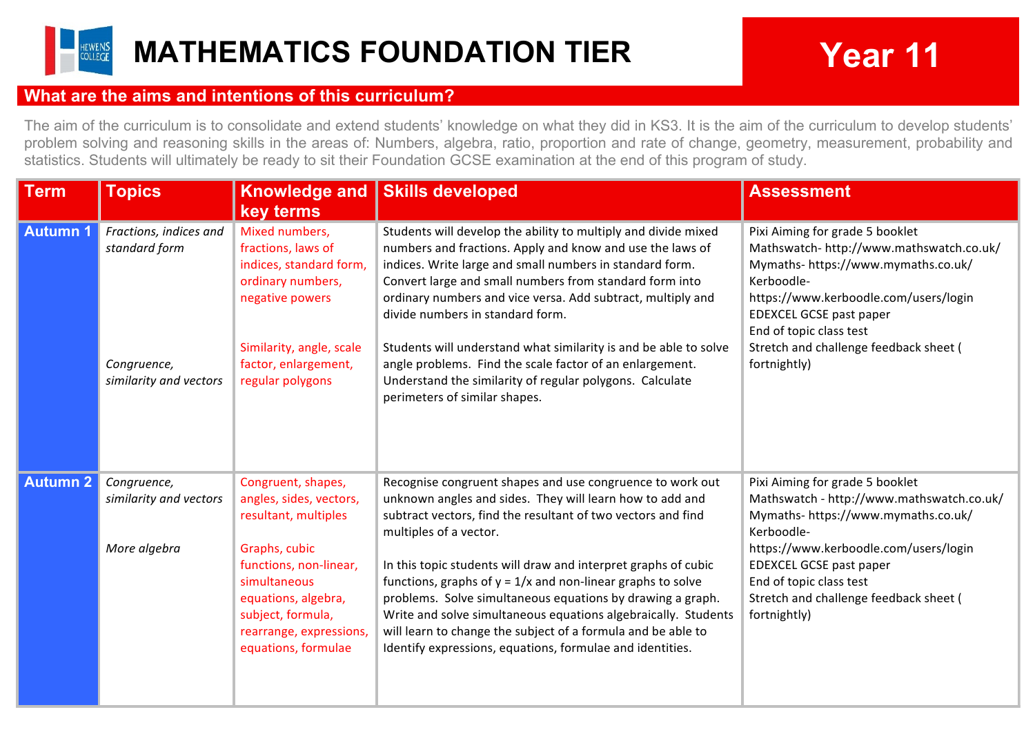

## **What are the aims and intentions of this curriculum?**

The aim of the curriculum is to consolidate and extend students' knowledge on what they did in KS3. It is the aim of the curriculum to develop students' problem solving and reasoning skills in the areas of: Numbers, algebra, ratio, proportion and rate of change, geometry, measurement, probability and statistics. Students will ultimately be ready to sit their Foundation GCSE examination at the end of this program of study.

| <b>Term</b>     | <b>Topics</b>                                                                    | <b>Knowledge and</b><br>key terms                                                                                                                                                                                              | <b>Skills developed</b>                                                                                                                                                                                                                                                                                                                                                                                                                                                                                                                                                                                         | <b>Assessment</b>                                                                                                                                                                                                                                                                          |
|-----------------|----------------------------------------------------------------------------------|--------------------------------------------------------------------------------------------------------------------------------------------------------------------------------------------------------------------------------|-----------------------------------------------------------------------------------------------------------------------------------------------------------------------------------------------------------------------------------------------------------------------------------------------------------------------------------------------------------------------------------------------------------------------------------------------------------------------------------------------------------------------------------------------------------------------------------------------------------------|--------------------------------------------------------------------------------------------------------------------------------------------------------------------------------------------------------------------------------------------------------------------------------------------|
| <b>Autumn 1</b> | Fractions, indices and<br>standard form<br>Congruence,<br>similarity and vectors | Mixed numbers,<br>fractions, laws of<br>indices, standard form,<br>ordinary numbers,<br>negative powers<br>Similarity, angle, scale<br>factor, enlargement,<br>regular polygons                                                | Students will develop the ability to multiply and divide mixed<br>numbers and fractions. Apply and know and use the laws of<br>indices. Write large and small numbers in standard form.<br>Convert large and small numbers from standard form into<br>ordinary numbers and vice versa. Add subtract, multiply and<br>divide numbers in standard form.<br>Students will understand what similarity is and be able to solve<br>angle problems. Find the scale factor of an enlargement.<br>Understand the similarity of regular polygons. Calculate                                                               | Pixi Aiming for grade 5 booklet<br>Mathswatch- http://www.mathswatch.co.uk/<br>Mymaths- https://www.mymaths.co.uk/<br>Kerboodle-<br>https://www.kerboodle.com/users/login<br>EDEXCEL GCSE past paper<br>End of topic class test<br>Stretch and challenge feedback sheet (<br>fortnightly)  |
|                 |                                                                                  |                                                                                                                                                                                                                                | perimeters of similar shapes.                                                                                                                                                                                                                                                                                                                                                                                                                                                                                                                                                                                   |                                                                                                                                                                                                                                                                                            |
| <b>Autumn 2</b> | Congruence,<br>similarity and vectors<br>More algebra                            | Congruent, shapes,<br>angles, sides, vectors,<br>resultant, multiples<br>Graphs, cubic<br>functions, non-linear,<br>simultaneous<br>equations, algebra,<br>subject, formula,<br>rearrange, expressions,<br>equations, formulae | Recognise congruent shapes and use congruence to work out<br>unknown angles and sides. They will learn how to add and<br>subtract vectors, find the resultant of two vectors and find<br>multiples of a vector.<br>In this topic students will draw and interpret graphs of cubic<br>functions, graphs of $y = 1/x$ and non-linear graphs to solve<br>problems. Solve simultaneous equations by drawing a graph.<br>Write and solve simultaneous equations algebraically. Students<br>will learn to change the subject of a formula and be able to<br>Identify expressions, equations, formulae and identities. | Pixi Aiming for grade 5 booklet<br>Mathswatch - http://www.mathswatch.co.uk/<br>Mymaths- https://www.mymaths.co.uk/<br>Kerboodle-<br>https://www.kerboodle.com/users/login<br>EDEXCEL GCSE past paper<br>End of topic class test<br>Stretch and challenge feedback sheet (<br>fortnightly) |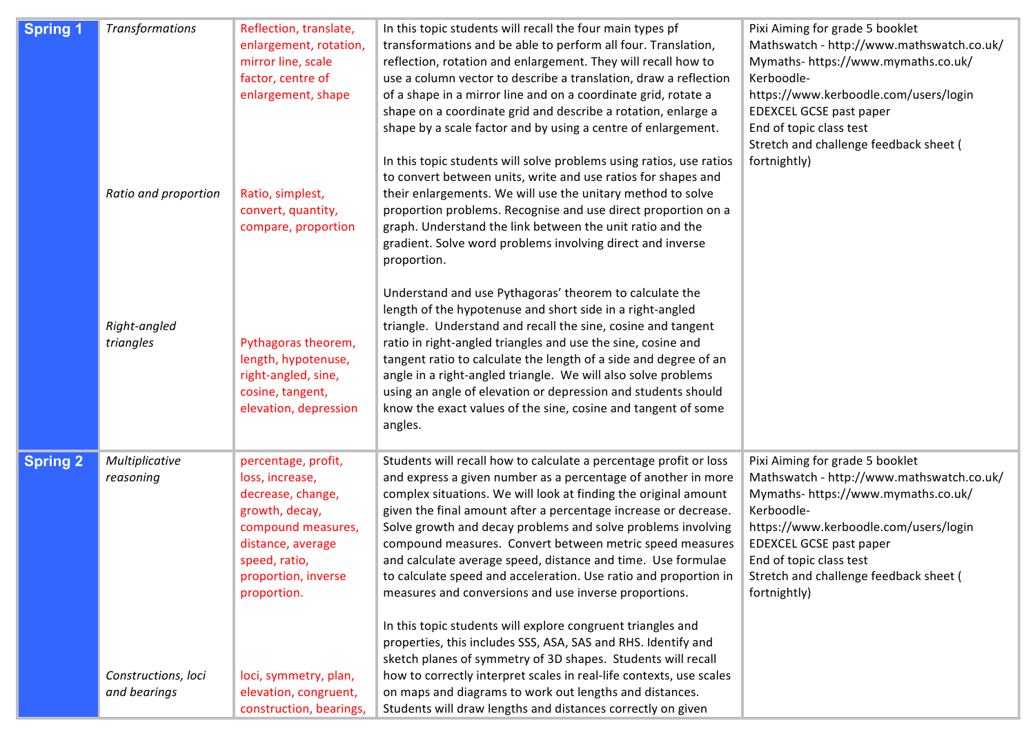| <b>Spring 1</b> | <b>Transformations</b><br>Ratio and proportion<br>Right-angled<br>triangles | Reflection, translate,<br>enlargement, rotation,<br>mirror line, scale<br>factor, centre of<br>enlargement, shape<br>Ratio, simplest,<br>convert, quantity,<br>compare, proportion<br>Pythagoras theorem,<br>length, hypotenuse,<br>right-angled, sine,<br>cosine, tangent,<br>elevation, depression | In this topic students will recall the four main types pf<br>transformations and be able to perform all four. Translation,<br>reflection, rotation and enlargement. They will recall how to<br>use a column vector to describe a translation, draw a reflection<br>of a shape in a mirror line and on a coordinate grid, rotate a<br>shape on a coordinate grid and describe a rotation, enlarge a<br>shape by a scale factor and by using a centre of enlargement.<br>In this topic students will solve problems using ratios, use ratios<br>to convert between units, write and use ratios for shapes and<br>their enlargements. We will use the unitary method to solve<br>proportion problems. Recognise and use direct proportion on a<br>graph. Understand the link between the unit ratio and the<br>gradient. Solve word problems involving direct and inverse<br>proportion.<br>Understand and use Pythagoras' theorem to calculate the<br>length of the hypotenuse and short side in a right-angled<br>triangle. Understand and recall the sine, cosine and tangent<br>ratio in right-angled triangles and use the sine, cosine and<br>tangent ratio to calculate the length of a side and degree of an<br>angle in a right-angled triangle. We will also solve problems<br>using an angle of elevation or depression and students should<br>know the exact values of the sine, cosine and tangent of some<br>angles. | Pixi Aiming for grade 5 booklet<br>Mathswatch - http://www.mathswatch.co.uk/<br>Mymaths- https://www.mymaths.co.uk/<br>Kerboodle-<br>https://www.kerboodle.com/users/login<br>EDEXCEL GCSE past paper<br>End of topic class test<br>Stretch and challenge feedback sheet (<br>fortnightly)        |
|-----------------|-----------------------------------------------------------------------------|------------------------------------------------------------------------------------------------------------------------------------------------------------------------------------------------------------------------------------------------------------------------------------------------------|---------------------------------------------------------------------------------------------------------------------------------------------------------------------------------------------------------------------------------------------------------------------------------------------------------------------------------------------------------------------------------------------------------------------------------------------------------------------------------------------------------------------------------------------------------------------------------------------------------------------------------------------------------------------------------------------------------------------------------------------------------------------------------------------------------------------------------------------------------------------------------------------------------------------------------------------------------------------------------------------------------------------------------------------------------------------------------------------------------------------------------------------------------------------------------------------------------------------------------------------------------------------------------------------------------------------------------------------------------------------------------------------------------------------------------|---------------------------------------------------------------------------------------------------------------------------------------------------------------------------------------------------------------------------------------------------------------------------------------------------|
| <b>Spring 2</b> | Multiplicative<br>reasoning<br>Constructions, loci<br>and bearings          | percentage, profit,<br>loss, increase,<br>decrease, change,<br>growth, decay,<br>compound measures,<br>distance, average<br>speed, ratio,<br>proportion, inverse<br>proportion.<br>loci, symmetry, plan,<br>elevation, congruent,<br>construction, bearings,                                         | Students will recall how to calculate a percentage profit or loss<br>and express a given number as a percentage of another in more<br>complex situations. We will look at finding the original amount<br>given the final amount after a percentage increase or decrease.<br>Solve growth and decay problems and solve problems involving<br>compound measures. Convert between metric speed measures<br>and calculate average speed, distance and time. Use formulae<br>to calculate speed and acceleration. Use ratio and proportion in<br>measures and conversions and use inverse proportions.<br>In this topic students will explore congruent triangles and<br>properties, this includes SSS, ASA, SAS and RHS. Identify and<br>sketch planes of symmetry of 3D shapes. Students will recall<br>how to correctly interpret scales in real-life contexts, use scales<br>on maps and diagrams to work out lengths and distances.<br>Students will draw lengths and distances correctly on given                                                                                                                                                                                                                                                                                                                                                                                                                              | Pixi Aiming for grade 5 booklet<br>Mathswatch - http://www.mathswatch.co.uk/<br>Mymaths- https://www.mymaths.co.uk/<br>Kerboodle-<br>https://www.kerboodle.com/users/login<br><b>EDEXCEL GCSE past paper</b><br>End of topic class test<br>Stretch and challenge feedback sheet (<br>fortnightly) |